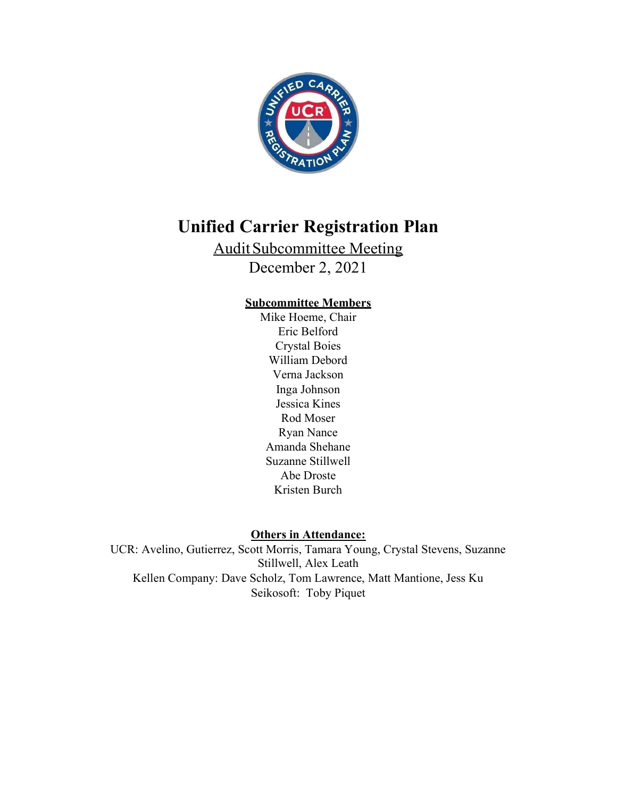

# Unified Carrier Registration Plan

Audit Subcommittee Meeting December 2, 2021

# Subcommittee Members

Mike Hoeme, Chair Eric Belford Crystal Boies William Debord Verna Jackson Inga Johnson Jessica Kines Rod Moser Ryan Nance Amanda Shehane Suzanne Stillwell Abe Droste Kristen Burch

Others in Attendance:

UCR: Avelino, Gutierrez, Scott Morris, Tamara Young, Crystal Stevens, Suzanne Stillwell, Alex Leath Kellen Company: Dave Scholz, Tom Lawrence, Matt Mantione, Jess Ku Seikosoft: Toby Piquet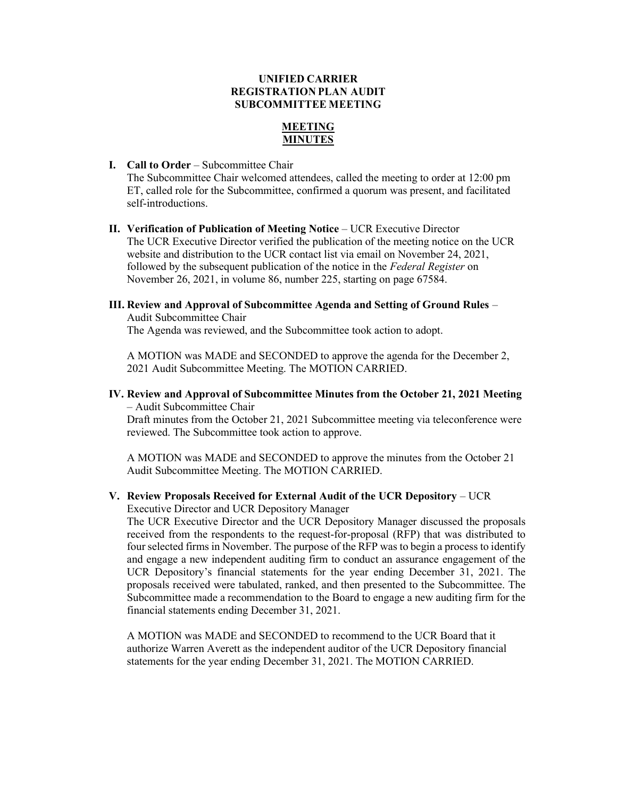# UNIFIED CARRIER REGISTRATION PLAN AUDIT SUBCOMMITTEE MEETING

# MEETING MINUTES

I. Call to Order – Subcommittee Chair

The Subcommittee Chair welcomed attendees, called the meeting to order at 12:00 pm ET, called role for the Subcommittee, confirmed a quorum was present, and facilitated self-introductions.

- II. Verification of Publication of Meeting Notice UCR Executive Director The UCR Executive Director verified the publication of the meeting notice on the UCR website and distribution to the UCR contact list via email on November 24, 2021, followed by the subsequent publication of the notice in the Federal Register on November 26, 2021, in volume 86, number 225, starting on page 67584.
- III. Review and Approval of Subcommittee Agenda and Setting of Ground Rules Audit Subcommittee Chair

The Agenda was reviewed, and the Subcommittee took action to adopt.

A MOTION was MADE and SECONDED to approve the agenda for the December 2, 2021 Audit Subcommittee Meeting. The MOTION CARRIED.

IV. Review and Approval of Subcommittee Minutes from the October 21, 2021 Meeting – Audit Subcommittee Chair

Draft minutes from the October 21, 2021 Subcommittee meeting via teleconference were reviewed. The Subcommittee took action to approve.

A MOTION was MADE and SECONDED to approve the minutes from the October 21 Audit Subcommittee Meeting. The MOTION CARRIED.

#### V. Review Proposals Received for External Audit of the UCR Depository – UCR Executive Director and UCR Depository Manager

The UCR Executive Director and the UCR Depository Manager discussed the proposals received from the respondents to the request-for-proposal (RFP) that was distributed to four selected firms in November. The purpose of the RFP was to begin a process to identify and engage a new independent auditing firm to conduct an assurance engagement of the UCR Depository's financial statements for the year ending December 31, 2021. The proposals received were tabulated, ranked, and then presented to the Subcommittee. The Subcommittee made a recommendation to the Board to engage a new auditing firm for the financial statements ending December 31, 2021.

A MOTION was MADE and SECONDED to recommend to the UCR Board that it authorize Warren Averett as the independent auditor of the UCR Depository financial statements for the year ending December 31, 2021. The MOTION CARRIED.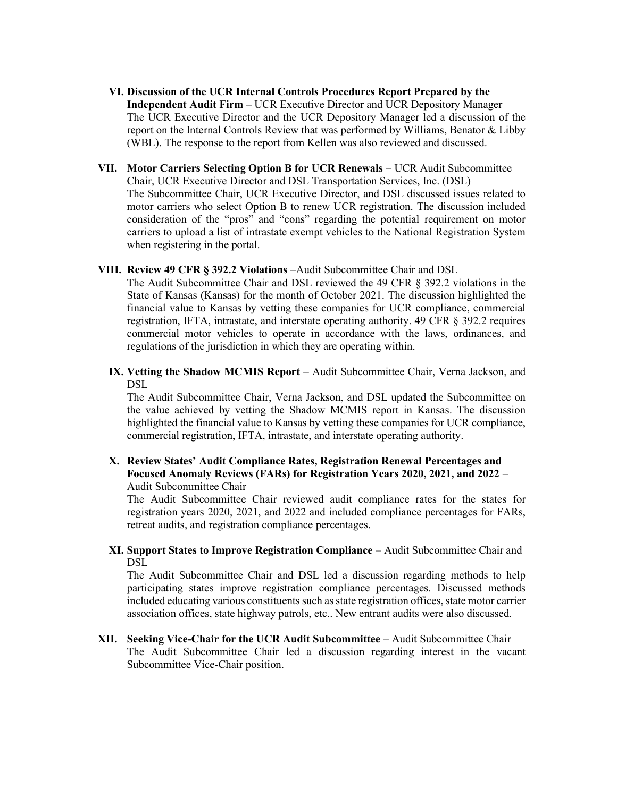- VI. Discussion of the UCR Internal Controls Procedures Report Prepared by the Independent Audit Firm – UCR Executive Director and UCR Depository Manager The UCR Executive Director and the UCR Depository Manager led a discussion of the report on the Internal Controls Review that was performed by Williams, Benator & Libby (WBL). The response to the report from Kellen was also reviewed and discussed.
- VII. Motor Carriers Selecting Option B for UCR Renewals UCR Audit Subcommittee Chair, UCR Executive Director and DSL Transportation Services, Inc. (DSL) The Subcommittee Chair, UCR Executive Director, and DSL discussed issues related to motor carriers who select Option B to renew UCR registration. The discussion included consideration of the "pros" and "cons" regarding the potential requirement on motor carriers to upload a list of intrastate exempt vehicles to the National Registration System when registering in the portal.
- VIII. Review 49 CFR § 392.2 Violations –Audit Subcommittee Chair and DSL

The Audit Subcommittee Chair and DSL reviewed the 49 CFR § 392.2 violations in the State of Kansas (Kansas) for the month of October 2021. The discussion highlighted the financial value to Kansas by vetting these companies for UCR compliance, commercial registration, IFTA, intrastate, and interstate operating authority. 49 CFR § 392.2 requires commercial motor vehicles to operate in accordance with the laws, ordinances, and regulations of the jurisdiction in which they are operating within.

IX. Vetting the Shadow MCMIS Report – Audit Subcommittee Chair, Verna Jackson, and DSL

The Audit Subcommittee Chair, Verna Jackson, and DSL updated the Subcommittee on the value achieved by vetting the Shadow MCMIS report in Kansas. The discussion highlighted the financial value to Kansas by vetting these companies for UCR compliance, commercial registration, IFTA, intrastate, and interstate operating authority.

X. Review States' Audit Compliance Rates, Registration Renewal Percentages and Focused Anomaly Reviews (FARs) for Registration Years 2020, 2021, and 2022 – Audit Subcommittee Chair

The Audit Subcommittee Chair reviewed audit compliance rates for the states for registration years 2020, 2021, and 2022 and included compliance percentages for FARs, retreat audits, and registration compliance percentages.

XI. Support States to Improve Registration Compliance – Audit Subcommittee Chair and DSL

The Audit Subcommittee Chair and DSL led a discussion regarding methods to help participating states improve registration compliance percentages. Discussed methods included educating various constituents such as state registration offices, state motor carrier association offices, state highway patrols, etc.. New entrant audits were also discussed.

XII. Seeking Vice-Chair for the UCR Audit Subcommittee – Audit Subcommittee Chair The Audit Subcommittee Chair led a discussion regarding interest in the vacant Subcommittee Vice-Chair position.